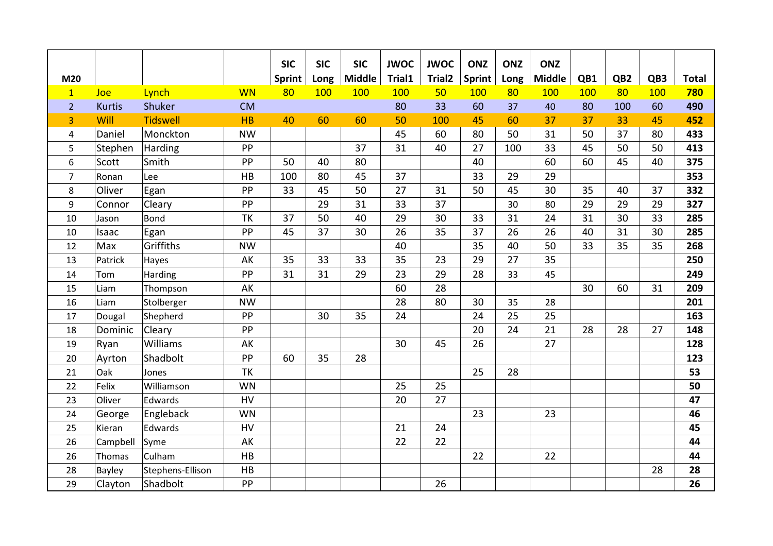|                |               |                  |           | <b>SIC</b>    | <b>SIC</b> | <b>SIC</b>    | <b>JWOC</b> | <b>JWOC</b>        | <b>ONZ</b>    | <b>ONZ</b> | <b>ONZ</b>    |     |                 |     |              |
|----------------|---------------|------------------|-----------|---------------|------------|---------------|-------------|--------------------|---------------|------------|---------------|-----|-----------------|-----|--------------|
| M20            |               |                  |           | <b>Sprint</b> | Long       | <b>Middle</b> | Trial1      | Trial <sub>2</sub> | <b>Sprint</b> | Long       | <b>Middle</b> | QB1 | QB <sub>2</sub> | QB3 | <b>Total</b> |
| $\mathbf{1}$   | Joe           | Lynch            | <b>WN</b> | 80            | 100        | 100           | 100         | 50                 | 100           | 80         | 100           | 100 | 80              | 100 | 780          |
| $\overline{2}$ | <b>Kurtis</b> | Shuker           | <b>CM</b> |               |            |               | 80          | 33                 | 60            | 37         | 40            | 80  | 100             | 60  | 490          |
| 3              | Will          | <b>Tidswell</b>  | HB        | 40            | 60         | 60            | 50          | 100                | 45            | 60         | 37            | 37  | 33              | 45  | 452          |
| 4              | Daniel        | Monckton         | <b>NW</b> |               |            |               | 45          | 60                 | 80            | 50         | 31            | 50  | 37              | 80  | 433          |
| 5              | Stephen       | Harding          | PP        |               |            | 37            | 31          | 40                 | 27            | 100        | 33            | 45  | 50              | 50  | 413          |
| 6              | Scott         | Smith            | PP        | 50            | 40         | 80            |             |                    | 40            |            | 60            | 60  | 45              | 40  | 375          |
| $\overline{7}$ | Ronan         | Lee              | HB        | 100           | 80         | 45            | 37          |                    | 33            | 29         | 29            |     |                 |     | 353          |
| 8              | Oliver        | Egan             | PP        | 33            | 45         | 50            | 27          | 31                 | 50            | 45         | 30            | 35  | 40              | 37  | 332          |
| 9              | Connor        | Cleary           | PP        |               | 29         | 31            | 33          | 37                 |               | 30         | 80            | 29  | 29              | 29  | 327          |
| 10             | Jason         | Bond             | TK        | 37            | 50         | 40            | 29          | 30                 | 33            | 31         | 24            | 31  | 30              | 33  | 285          |
| 10             | Isaac         | Egan             | PP        | 45            | 37         | 30            | 26          | 35                 | 37            | 26         | 26            | 40  | 31              | 30  | 285          |
| 12             | Max           | Griffiths        | <b>NW</b> |               |            |               | 40          |                    | 35            | 40         | 50            | 33  | 35              | 35  | 268          |
| 13             | Patrick       | Hayes            | AK        | 35            | 33         | 33            | 35          | 23                 | 29            | 27         | 35            |     |                 |     | 250          |
| 14             | Tom           | Harding          | PP        | 31            | 31         | 29            | 23          | 29                 | 28            | 33         | 45            |     |                 |     | 249          |
| 15             | Liam          | Thompson         | AK        |               |            |               | 60          | 28                 |               |            |               | 30  | 60              | 31  | 209          |
| 16             | Liam          | Stolberger       | <b>NW</b> |               |            |               | 28          | 80                 | 30            | 35         | 28            |     |                 |     | 201          |
| 17             | Dougal        | Shepherd         | PP        |               | 30         | 35            | 24          |                    | 24            | 25         | 25            |     |                 |     | 163          |
| 18             | Dominic       | Cleary           | PP        |               |            |               |             |                    | 20            | 24         | 21            | 28  | 28              | 27  | 148          |
| 19             | Ryan          | Williams         | AK        |               |            |               | 30          | 45                 | 26            |            | 27            |     |                 |     | 128          |
| 20             | Ayrton        | Shadbolt         | PP        | 60            | 35         | 28            |             |                    |               |            |               |     |                 |     | 123          |
| 21             | Oak           | Jones            | <b>TK</b> |               |            |               |             |                    | 25            | 28         |               |     |                 |     | 53           |
| 22             | Felix         | Williamson       | WN        |               |            |               | 25          | 25                 |               |            |               |     |                 |     | 50           |
| 23             | Oliver        | Edwards          | HV        |               |            |               | 20          | 27                 |               |            |               |     |                 |     | 47           |
| 24             | George        | Engleback        | <b>WN</b> |               |            |               |             |                    | 23            |            | 23            |     |                 |     | 46           |
| 25             | Kieran        | Edwards          | HV        |               |            |               | 21          | 24                 |               |            |               |     |                 |     | 45           |
| 26             | Campbell      | Syme             | AK        |               |            |               | 22          | 22                 |               |            |               |     |                 |     | 44           |
| 26             | Thomas        | Culham           | HB        |               |            |               |             |                    | 22            |            | 22            |     |                 |     | 44           |
| 28             | Bayley        | Stephens-Ellison | HB        |               |            |               |             |                    |               |            |               |     |                 | 28  | 28           |
| 29             | Clayton       | Shadbolt         | PP        |               |            |               |             | 26                 |               |            |               |     |                 |     | 26           |